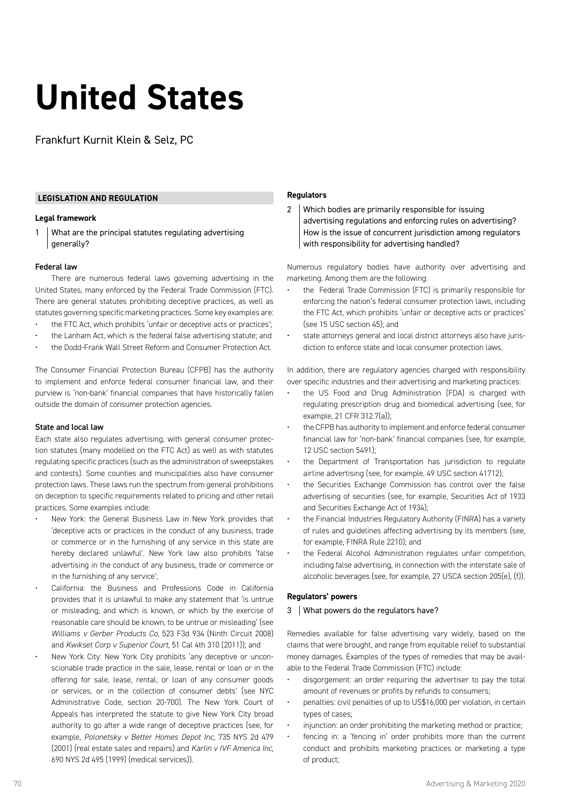# **United States**

Frankfurt Kurnit Klein & Selz, PC

# **LEGISLATION AND REGULATION**

# **Legal framework**

1 What are the principal statutes regulating advertising generally?

# Federal law

There are numerous federal laws governing advertising in the United States, many enforced by the Federal Trade Commission (FTC). There are general statutes prohibiting deceptive practices, as well as statutes governing specific marketing practices. Some key examples are:

- the FTC Act, which prohibits 'unfair or deceptive acts or practices';
- the Lanham Act, which is the federal false advertising statute; and
- the Dodd-Frank Wall Street Reform and Consumer Protection Act.

The Consumer Financial Protection Bureau (CFPB) has the authority to implement and enforce federal consumer financial law, and their purview is 'non-bank' financial companies that have historically fallen outside the domain of consumer protection agencies.

# State and local law

Each state also regulates advertising, with general consumer protection statutes (many modelled on the FTC Act) as well as with statutes regulating specific practices (such as the administration of sweepstakes and contests). Some counties and municipalities also have consumer protection laws. These laws run the spectrum from general prohibitions on deception to specific requirements related to pricing and other retail practices. Some examples include:

- New York: the General Business Law in New York provides that 'deceptive acts or practices in the conduct of any business, trade or commerce or in the furnishing of any service in this state are hereby declared unlawful'. New York law also prohibits 'false advertising in the conduct of any business, trade or commerce or in the furnishing of any service';
- California: the Business and Professions Code in California provides that it is unlawful to make any statement that 'is untrue or misleading, and which is known, or which by the exercise of reasonable care should be known, to be untrue or misleading' (see *Williams v Gerber Products Co*, 523 F3d 934 (Ninth Circuit 2008) and *Kwikset Corp v Superior Court*, 51 Cal 4th 310 (2011)); and
- New York City: New York City prohibits 'any deceptive or unconscionable trade practice in the sale, lease, rental or loan or in the offering for sale, lease, rental, or loan of any consumer goods or services, or in the collection of consumer debts' (see NYC Administrative Code, section 20-700). The New York Court of Appeals has interpreted the statute to give New York City broad authority to go after a wide range of deceptive practices (see, for example, *Polonetsky v Better Homes Depot Inc*, 735 NYS 2d 479 (2001) (real estate sales and repairs) and *Karlin v IVF America Inc,* 690 NYS 2d 495 (1999) (medical services)).

# **Regulators**

2 Which bodies are primarily responsible for issuing advertising regulations and enforcing rules on advertising? How is the issue of concurrent jurisdiction among regulators with responsibility for advertising handled?

Numerous regulatory bodies have authority over advertising and marketing. Among them are the following:

- the Federal Trade Commission (FTC) is primarily responsible for enforcing the nation's federal consumer protection laws, including the FTC Act, which prohibits 'unfair or deceptive acts or practices' (see 15 USC section 45); and
- state attorneys general and local district attorneys also have jurisdiction to enforce state and local consumer protection laws.

In addition, there are regulatory agencies charged with responsibility over specific industries and their advertising and marketing practices:

- the US Food and Drug Administration (FDA) is charged with regulating prescription drug and biomedical advertising (see, for example, 21 CFR 312.7(a));
- the CFPB has authority to implement and enforce federal consumer financial law for 'non-bank' financial companies (see, for example, 12 USC section 5491);
- the Department of Transportation has jurisdiction to regulate airline advertising (see, for example, 49 USC section 41712);
- the Securities Exchange Commission has control over the false advertising of securities (see, for example, Securities Act of 1933 and Securities Exchange Act of 1934);
- the Financial Industries Regulatory Authority (FINRA) has a variety of rules and guidelines affecting advertising by its members (see, for example, FINRA Rule 2210); and
- the Federal Alcohol Administration regulates unfair competition, including false advertising, in connection with the interstate sale of alcoholic beverages (see, for example, 27 USCA section 205(e), (f)).

# **Regulators' powers**

#### 3 | What powers do the regulators have?

Remedies available for false advertising vary widely, based on the claims that were brought, and range from equitable relief to substantial money damages. Examples of the types of remedies that may be available to the Federal Trade Commission (FTC) include:

- disgorgement: an order requiring the advertiser to pay the total amount of revenues or profits by refunds to consumers;
- penalties: civil penalties of up to US\$16,000 per violation, in certain types of cases;
- injunction: an order prohibiting the marketing method or practice;
- fencing in: a 'fencing in' order prohibits more than the current conduct and prohibits marketing practices or marketing a type of product;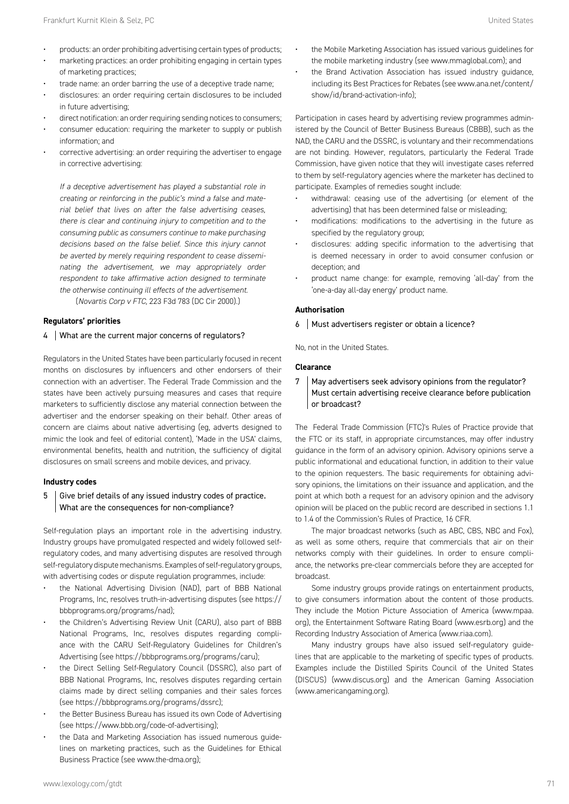- marketing practices: an order prohibiting engaging in certain types of marketing practices;
- trade name: an order barring the use of a deceptive trade name;
- disclosures: an order requiring certain disclosures to be included in future advertising;
- direct notification: an order requiring sending notices to consumers;
- consumer education: requiring the marketer to supply or publish information; and
- corrective advertising: an order requiring the advertiser to engage in corrective advertising:

*If a deceptive advertisement has played a substantial role in creating or reinforcing in the public's mind a false and material belief that lives on after the false advertising ceases, there is clear and continuing injury to competition and to the consuming public as consumers continue to make purchasing decisions based on the false belief. Since this injury cannot be averted by merely requiring respondent to cease disseminating the advertisement, we may appropriately order respondent to take affirmative action designed to terminate the otherwise continuing ill effects of the advertisement.* (*Novartis Corp v FTC*, 223 F3d 783 (DC Cir 2000).)

**Regulators' priorities**

# 4 What are the current major concerns of regulators?

Regulators in the United States have been particularly focused in recent months on disclosures by influencers and other endorsers of their connection with an advertiser. The Federal Trade Commission and the states have been actively pursuing measures and cases that require marketers to sufficiently disclose any material connection between the advertiser and the endorser speaking on their behalf. Other areas of concern are claims about native advertising (eg, adverts designed to mimic the look and feel of editorial content), 'Made in the USA' claims, environmental benefits, health and nutrition, the sufficiency of digital disclosures on small screens and mobile devices, and privacy.

# **Industry codes**

# $5$  Give brief details of any issued industry codes of practice. What are the consequences for non-compliance?

Self-regulation plays an important role in the advertising industry. Industry groups have promulgated respected and widely followed selfregulatory codes, and many advertising disputes are resolved through self-regulatory dispute mechanisms. Examples of self-regulatory groups, with advertising codes or dispute regulation programmes, include:

- the National Advertising Division (NAD), part of BBB National Programs, Inc, resolves truth-in-advertising disputes (see https:// bbbprograms.org/programs/nad);
- the Children's Advertising Review Unit (CARU), also part of BBB National Programs, Inc, resolves disputes regarding compliance with the CARU Self-Regulatory Guidelines for Children's Advertising (see https://bbbprograms.org/programs/caru);
- the Direct Selling Self-Regulatory Council (DSSRC), also part of BBB National Programs, Inc, resolves disputes regarding certain claims made by direct selling companies and their sales forces (see https://bbbprograms.org/programs/dssrc);
- the Better Business Bureau has issued its own Code of Advertising (see https://www.bbb.org/code-of-advertising);
- the Data and Marketing Association has issued numerous guidelines on marketing practices, such as the Guidelines for Ethical Business Practice (see www.the-dma.org);
- the Mobile Marketing Association has issued various guidelines for the mobile marketing industry (see www.mmaglobal.com); and
- the Brand Activation Association has issued industry guidance, including its Best Practices for Rebates (see www.ana.net/content/ show/id/brand-activation-info);

Participation in cases heard by advertising review programmes administered by the Council of Better Business Bureaus (CBBB), such as the NAD, the CARU and the DSSRC, is voluntary and their recommendations are not binding. However, regulators, particularly the Federal Trade Commission, have given notice that they will investigate cases referred to them by self-regulatory agencies where the marketer has declined to participate. Examples of remedies sought include:

- withdrawal: ceasing use of the advertising (or element of the advertising) that has been determined false or misleading;
- modifications: modifications to the advertising in the future as specified by the regulatory group;
- disclosures: adding specific information to the advertising that is deemed necessary in order to avoid consumer confusion or deception; and
- product name change: for example, removing 'all-day' from the 'one-a-day all-day energy' product name.

# **Authorisation**

6 Must advertisers register or obtain a licence?

No, not in the United States.

#### **Clearance**

7 | May advertisers seek advisory opinions from the regulator? Must certain advertising receive clearance before publication or broadcast?

The Federal Trade Commission (FTC)'s Rules of Practice provide that the FTC or its staff, in appropriate circumstances, may offer industry guidance in the form of an advisory opinion. Advisory opinions serve a public informational and educational function, in addition to their value to the opinion requesters. The basic requirements for obtaining advisory opinions, the limitations on their issuance and application, and the point at which both a request for an advisory opinion and the advisory opinion will be placed on the public record are described in sections 1.1 to 1.4 of the Commission's Rules of Practice, 16 CFR.

The major broadcast networks (such as ABC, CBS, NBC and Fox), as well as some others, require that commercials that air on their networks comply with their guidelines. In order to ensure compliance, the networks pre-clear commercials before they are accepted for broadcast.

Some industry groups provide ratings on entertainment products, to give consumers information about the content of those products. They include the Motion Picture Association of America (www.mpaa. org), the Entertainment Software Rating Board (www.esrb.org) and the Recording Industry Association of America (www.riaa.com).

Many industry groups have also issued self-regulatory guidelines that are applicable to the marketing of specific types of products. Examples include the Distilled Spirits Council of the United States (DISCUS) (www.discus.org) and the American Gaming Association (www.americangaming.org).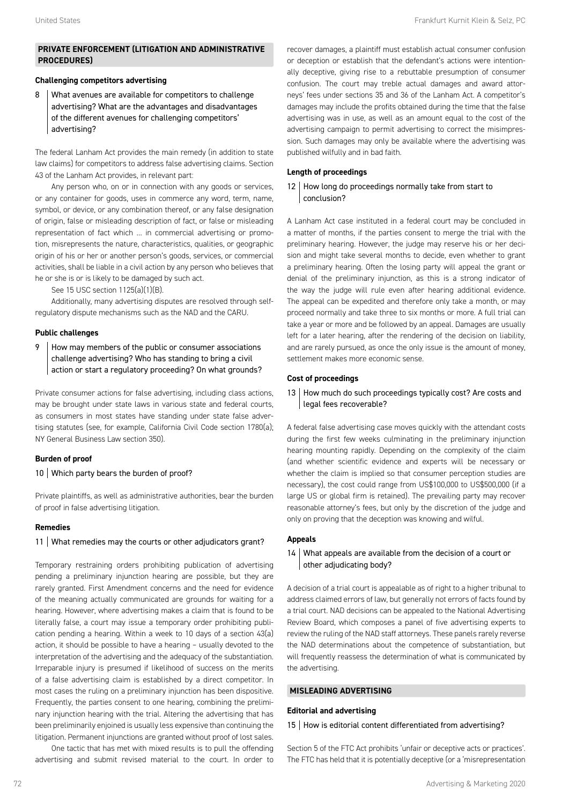# **PRIVATE ENFORCEMENT (LITIGATION AND ADMINISTRATIVE PROCEDURES)**

# **Challenging competitors advertising**

8 What avenues are available for competitors to challenge advertising? What are the advantages and disadvantages of the different avenues for challenging competitors' advertising?

The federal Lanham Act provides the main remedy (in addition to state law claims) for competitors to address false advertising claims. Section 43 of the Lanham Act provides, in relevant part:

Any person who, on or in connection with any goods or services, or any container for goods, uses in commerce any word, term, name, symbol, or device, or any combination thereof, or any false designation of origin, false or misleading description of fact, or false or misleading representation of fact which … in commercial advertising or promotion, misrepresents the nature, characteristics, qualities, or geographic origin of his or her or another person's goods, services, or commercial activities, shall be liable in a civil action by any person who believes that he or she is or is likely to be damaged by such act.

See 15 USC section 1125(a)(1)(B).

Additionally, many advertising disputes are resolved through selfregulatory dispute mechanisms such as the NAD and the CARU.

# **Public challenges**

9 | How may members of the public or consumer associations challenge advertising? Who has standing to bring a civil action or start a regulatory proceeding? On what grounds?

Private consumer actions for false advertising, including class actions, may be brought under state laws in various state and federal courts, as consumers in most states have standing under state false advertising statutes (see, for example, California Civil Code section 1780(a); NY General Business Law section 350).

# **Burden of proof**

# 10 Which party bears the burden of proof?

Private plaintiffs, as well as administrative authorities, bear the burden of proof in false advertising litigation.

# **Remedies**

# 11 What remedies may the courts or other adjudicators grant?

Temporary restraining orders prohibiting publication of advertising pending a preliminary injunction hearing are possible, but they are rarely granted. First Amendment concerns and the need for evidence of the meaning actually communicated are grounds for waiting for a hearing. However, where advertising makes a claim that is found to be literally false, a court may issue a temporary order prohibiting publication pending a hearing. Within a week to 10 days of a section 43(a) action, it should be possible to have a hearing – usually devoted to the interpretation of the advertising and the adequacy of the substantiation. Irreparable injury is presumed if likelihood of success on the merits of a false advertising claim is established by a direct competitor. In most cases the ruling on a preliminary injunction has been dispositive. Frequently, the parties consent to one hearing, combining the preliminary injunction hearing with the trial. Altering the advertising that has been preliminarily enjoined is usually less expensive than continuing the litigation. Permanent injunctions are granted without proof of lost sales.

One tactic that has met with mixed results is to pull the offending advertising and submit revised material to the court. In order to recover damages, a plaintiff must establish actual consumer confusion or deception or establish that the defendant's actions were intentionally deceptive, giving rise to a rebuttable presumption of consumer confusion. The court may treble actual damages and award attorneys' fees under sections 35 and 36 of the Lanham Act. A competitor's damages may include the profits obtained during the time that the false advertising was in use, as well as an amount equal to the cost of the advertising campaign to permit advertising to correct the misimpression. Such damages may only be available where the advertising was published wilfully and in bad faith.

# **Length of proceedings**

# 12 How long do proceedings normally take from start to conclusion?

A Lanham Act case instituted in a federal court may be concluded in a matter of months, if the parties consent to merge the trial with the preliminary hearing. However, the judge may reserve his or her decision and might take several months to decide, even whether to grant a preliminary hearing. Often the losing party will appeal the grant or denial of the preliminary injunction, as this is a strong indicator of the way the judge will rule even after hearing additional evidence. The appeal can be expedited and therefore only take a month, or may proceed normally and take three to six months or more. A full trial can take a year or more and be followed by an appeal. Damages are usually left for a later hearing, after the rendering of the decision on liability, and are rarely pursued, as once the only issue is the amount of money, settlement makes more economic sense.

# **Cost of proceedings**

13 How much do such proceedings typically cost? Are costs and legal fees recoverable?

A federal false advertising case moves quickly with the attendant costs during the first few weeks culminating in the preliminary injunction hearing mounting rapidly. Depending on the complexity of the claim (and whether scientific evidence and experts will be necessary or whether the claim is implied so that consumer perception studies are necessary), the cost could range from US\$100,000 to US\$500,000 (if a large US or global firm is retained). The prevailing party may recover reasonable attorney's fees, but only by the discretion of the judge and only on proving that the deception was knowing and wilful.

# **Appeals**

# 14 | What appeals are available from the decision of a court or other adjudicating body?

A decision of a trial court is appealable as of right to a higher tribunal to address claimed errors of law, but generally not errors of facts found by a trial court. NAD decisions can be appealed to the National Advertising Review Board, which composes a panel of five advertising experts to review the ruling of the NAD staff attorneys. These panels rarely reverse the NAD determinations about the competence of substantiation, but will frequently reassess the determination of what is communicated by the advertising.

# **MISLEADING ADVERTISING**

# **Editorial and advertising**

# 15 | How is editorial content differentiated from advertising?

Section 5 of the FTC Act prohibits 'unfair or deceptive acts or practices'. The FTC has held that it is potentially deceptive (or a 'misrepresentation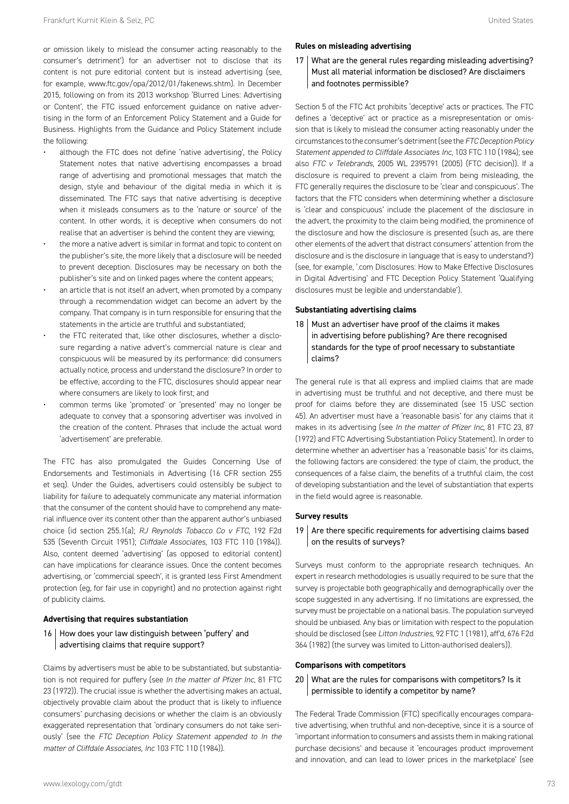or omission likely to mislead the consumer acting reasonably to the consumer's detriment') for an advertiser not to disclose that its content is not pure editorial content but is instead advertising (see, for example, www.ftc.gov/opa/2012/01/fakenews.shtm). In December 2015, following on from its 2013 workshop 'Blurred Lines: Advertising or Content', the FTC issued enforcement guidance on native advertising in the form of an Enforcement Policy Statement and a Guide for Business. Highlights from the Guidance and Policy Statement include the following:

- although the FTC does not define 'native advertising', the Policy Statement notes that native advertising encompasses a broad range of advertising and promotional messages that match the design, style and behaviour of the digital media in which it is disseminated. The FTC says that native advertising is deceptive when it misleads consumers as to the 'nature or source' of the content. In other words, it is deceptive when consumers do not realise that an advertiser is behind the content they are viewing;
- the more a native advert is similar in format and topic to content on the publisher's site, the more likely that a disclosure will be needed to prevent deception. Disclosures may be necessary on both the publisher's site and on linked pages where the content appears;
- an article that is not itself an advert, when promoted by a company through a recommendation widget can become an advert by the company. That company is in turn responsible for ensuring that the statements in the article are truthful and substantiated;
- the FTC reiterated that, like other disclosures, whether a disclosure regarding a native advert's commercial nature is clear and conspicuous will be measured by its performance: did consumers actually notice, process and understand the disclosure? In order to be effective, according to the FTC, disclosures should appear near where consumers are likely to look first; and
- common terms like 'promoted' or 'presented' may no longer be adequate to convey that a sponsoring advertiser was involved in the creation of the content. Phrases that include the actual word 'advertisement' are preferable.

The FTC has also promulgated the Guides Concerning Use of Endorsements and Testimonials in Advertising (16 CFR section 255 et seq). Under the Guides, advertisers could ostensibly be subject to liability for failure to adequately communicate any material information that the consumer of the content should have to comprehend any material influence over its content other than the apparent author's unbiased choice (id section 255.1(a); *RJ Reynolds Tobacco Co v FTC*, 192 F2d 535 (Seventh Circuit 1951); *Cliffdale Associates*, 103 FTC 110 (1984)). Also, content deemed 'advertising' (as opposed to editorial content) can have implications for clearance issues. Once the content becomes advertising, or 'commercial speech', it is granted less First Amendment protection (eg, for fair use in copyright) and no protection against right of publicity claims.

#### **Advertising that requires substantiation**

16 How does your law distinguish between 'puffery' and advertising claims that require support?

Claims by advertisers must be able to be substantiated, but substantiation is not required for puffery (see *In the matter of Pfizer Inc*, 81 FTC 23 (1972)). The crucial issue is whether the advertising makes an actual, objectively provable claim about the product that is likely to influence consumers' purchasing decisions or whether the claim is an obviously exaggerated representation that 'ordinary consumers do not take seriously' (see the *FTC Deception Policy Statement appended to In the matter of Cliffdale Associates, Inc* 103 FTC 110 (1984)).

#### **Rules on misleading advertising**

17 What are the general rules regarding misleading advertising? Must all material information be disclosed? Are disclaimers and footnotes permissible?

Section 5 of the FTC Act prohibits 'deceptive' acts or practices. The FTC defines a 'deceptive' act or practice as a misrepresentation or omission that is likely to mislead the consumer acting reasonably under the circumstances to the consumer's detriment (see the *FTC Deception Policy Statement appended to Cliffdale Associates Inc*, 103 FTC 110 (1984); see also *FTC v Telebrands*, 2005 WL 2395791 (2005) (FTC decision)). If a disclosure is required to prevent a claim from being misleading, the FTC generally requires the disclosure to be 'clear and conspicuous'. The factors that the FTC considers when determining whether a disclosure is 'clear and conspicuous' include the placement of the disclosure in the advert, the proximity to the claim being modified, the prominence of the disclosure and how the disclosure is presented (such as, are there other elements of the advert that distract consumers' attention from the disclosure and is the disclosure in language that is easy to understand?) (see, for example, '.com Disclosures: How to Make Effective Disclosures in Digital Advertising' and FTC Deception Policy Statement 'Qualifying disclosures must be legible and understandable').

#### **Substantiating advertising claims**

18 Must an advertiser have proof of the claims it makes in advertising before publishing? Are there recognised standards for the type of proof necessary to substantiate claims?

The general rule is that all express and implied claims that are made in advertising must be truthful and not deceptive, and there must be proof for claims before they are disseminated (see 15 USC section 45). An advertiser must have a 'reasonable basis' for any claims that it makes in its advertising (see *In the matter of Pfizer Inc*, 81 FTC 23, 87 (1972) and FTC Advertising Substantiation Policy Statement). In order to determine whether an advertiser has a 'reasonable basis' for its claims, the following factors are considered: the type of claim, the product, the consequences of a false claim, the benefits of a truthful claim, the cost of developing substantiation and the level of substantiation that experts in the field would agree is reasonable.

#### **Survey results**

19  $\vert$  Are there specific requirements for advertising claims based on the results of surveys?

Surveys must conform to the appropriate research techniques. An expert in research methodologies is usually required to be sure that the survey is projectable both geographically and demographically over the scope suggested in any advertising. If no limitations are expressed, the survey must be projectable on a national basis. The population surveyed should be unbiased. Any bias or limitation with respect to the population should be disclosed (see *Litton Industries*, 92 FTC 1 (1981), aff'd, 676 F2d 364 (1982) (the survey was limited to Litton-authorised dealers)).

#### **Comparisons with competitors**

20 What are the rules for comparisons with competitors? Is it permissible to identify a competitor by name?

The Federal Trade Commission (FTC) specifically encourages comparative advertising, when truthful and non-deceptive, since it is a source of 'important information to consumers and assists them in making rational purchase decisions' and because it 'encourages product improvement and innovation, and can lead to lower prices in the marketplace' (see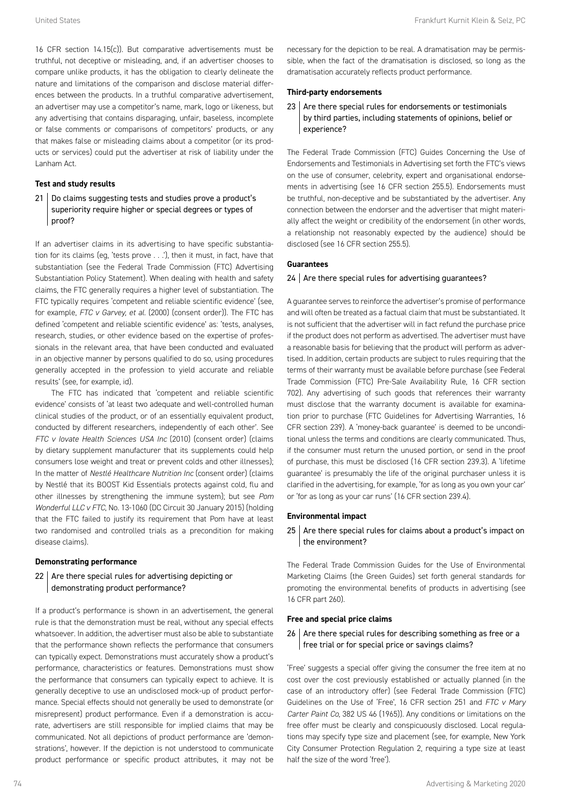16 CFR section 14.15(c)). But comparative advertisements must be truthful, not deceptive or misleading, and, if an advertiser chooses to compare unlike products, it has the obligation to clearly delineate the nature and limitations of the comparison and disclose material differences between the products. In a truthful comparative advertisement, an advertiser may use a competitor's name, mark, logo or likeness, but any advertising that contains disparaging, unfair, baseless, incomplete or false comments or comparisons of competitors' products, or any that makes false or misleading claims about a competitor (or its products or services) could put the advertiser at risk of liability under the Lanham Act.

# **Test and study results**

21 Do claims suggesting tests and studies prove a product's superiority require higher or special degrees or types of proof?

If an advertiser claims in its advertising to have specific substantiation for its claims (eg, 'tests prove . . .'), then it must, in fact, have that substantiation (see the Federal Trade Commission (FTC) Advertising Substantiation Policy Statement). When dealing with health and safety claims, the FTC generally requires a higher level of substantiation. The FTC typically requires 'competent and reliable scientific evidence' (see, for example, *FTC v Garvey, et al.* (2000) (consent order)). The FTC has defined 'competent and reliable scientific evidence' as: 'tests, analyses, research, studies, or other evidence based on the expertise of professionals in the relevant area, that have been conducted and evaluated in an objective manner by persons qualified to do so, using procedures generally accepted in the profession to yield accurate and reliable results' (see, for example, id).

The FTC has indicated that 'competent and reliable scientific evidence' consists of 'at least two adequate and well-controlled human clinical studies of the product, or of an essentially equivalent product, conducted by different researchers, independently of each other'. See *FTC v Iovate Health Sciences USA Inc* (2010) (consent order) (claims by dietary supplement manufacturer that its supplements could help consumers lose weight and treat or prevent colds and other illnesses); In the matter of *Nestlé Healthcare Nutrition Inc* (consent order) (claims by Nestlé that its BOOST Kid Essentials protects against cold, flu and other illnesses by strengthening the immune system); but see *Pom Wonderful LLC v FTC*, No. 13-1060 (DC Circuit 30 January 2015) (holding that the FTC failed to justify its requirement that Pom have at least two randomised and controlled trials as a precondition for making disease claims).

#### **Demonstrating performance**

 $22$  Are there special rules for advertising depicting or demonstrating product performance?

If a product's performance is shown in an advertisement, the general rule is that the demonstration must be real, without any special effects whatsoever. In addition, the advertiser must also be able to substantiate that the performance shown reflects the performance that consumers can typically expect. Demonstrations must accurately show a product's performance, characteristics or features. Demonstrations must show the performance that consumers can typically expect to achieve. It is generally deceptive to use an undisclosed mock-up of product performance. Special effects should not generally be used to demonstrate (or misrepresent) product performance. Even if a demonstration is accurate, advertisers are still responsible for implied claims that may be communicated. Not all depictions of product performance are 'demonstrations', however. If the depiction is not understood to communicate product performance or specific product attributes, it may not be

necessary for the depiction to be real. A dramatisation may be permissible, when the fact of the dramatisation is disclosed, so long as the dramatisation accurately reflects product performance.

#### **Third-party endorsements**

23 Are there special rules for endorsements or testimonials by third parties, including statements of opinions, belief or experience?

The Federal Trade Commission (FTC) Guides Concerning the Use of Endorsements and Testimonials in Advertising set forth the FTC's views on the use of consumer, celebrity, expert and organisational endorsements in advertising (see 16 CFR section 255.5). Endorsements must be truthful, non-deceptive and be substantiated by the advertiser. Any connection between the endorser and the advertiser that might materially affect the weight or credibility of the endorsement (in other words, a relationship not reasonably expected by the audience) should be disclosed (see 16 CFR section 255.5).

#### **Guarantees**

#### $24$  Are there special rules for advertising quarantees?

A guarantee serves to reinforce the advertiser's promise of performance and will often be treated as a factual claim that must be substantiated. It is not sufficient that the advertiser will in fact refund the purchase price if the product does not perform as advertised. The advertiser must have a reasonable basis for believing that the product will perform as advertised. In addition, certain products are subject to rules requiring that the terms of their warranty must be available before purchase (see Federal Trade Commission (FTC) Pre-Sale Availability Rule, 16 CFR section 702). Any advertising of such goods that references their warranty must disclose that the warranty document is available for examination prior to purchase (FTC Guidelines for Advertising Warranties, 16 CFR section 239). A 'money-back guarantee' is deemed to be unconditional unless the terms and conditions are clearly communicated. Thus, if the consumer must return the unused portion, or send in the proof of purchase, this must be disclosed (16 CFR section 239.3). A 'lifetime guarantee' is presumably the life of the original purchaser unless it is clarified in the advertising, for example, 'for as long as you own your car' or 'for as long as your car runs' (16 CFR section 239.4).

#### **Environmental impact**

 $25$  Are there special rules for claims about a product's impact on the environment?

The Federal Trade Commission Guides for the Use of Environmental Marketing Claims (the Green Guides) set forth general standards for promoting the environmental benefits of products in advertising (see 16 CFR part 260).

#### **Free and special price claims**

# 26 | Are there special rules for describing something as free or a free trial or for special price or savings claims?

'Free' suggests a special offer giving the consumer the free item at no cost over the cost previously established or actually planned (in the case of an introductory offer) (see Federal Trade Commission (FTC) Guidelines on the Use of 'Free', 16 CFR section 251 and *FTC v Mary Carter Paint Co*, 382 US 46 (1965)). Any conditions or limitations on the free offer must be clearly and conspicuously disclosed. Local regulations may specify type size and placement (see, for example, New York City Consumer Protection Regulation 2, requiring a type size at least half the size of the word 'free').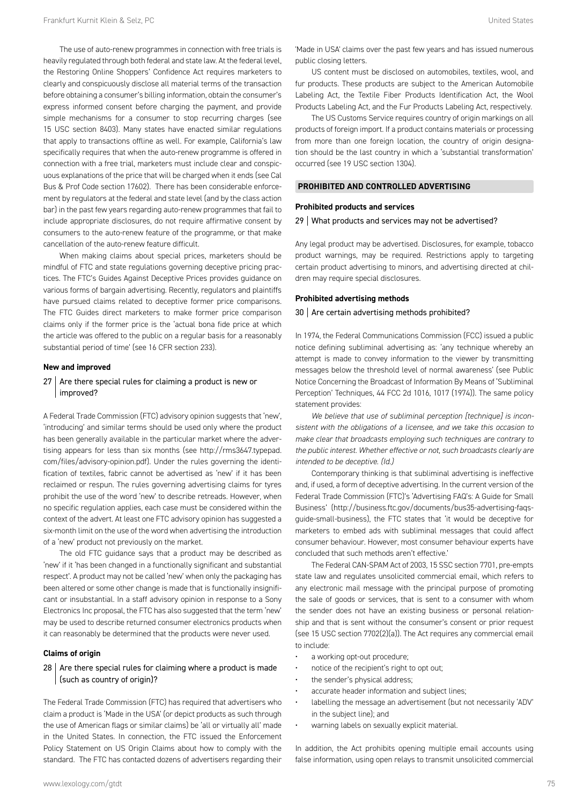The use of auto-renew programmes in connection with free trials is heavily regulated through both federal and state law. At the federal level, the Restoring Online Shoppers' Confidence Act requires marketers to clearly and conspicuously disclose all material terms of the transaction before obtaining a consumer's billing information, obtain the consumer's express informed consent before charging the payment, and provide simple mechanisms for a consumer to stop recurring charges (see 15 USC section 8403). Many states have enacted similar regulations that apply to transactions offline as well. For example, California's law specifically requires that when the auto-renew programme is offered in connection with a free trial, marketers must include clear and conspicuous explanations of the price that will be charged when it ends (see Cal Bus & Prof Code section 17602). There has been considerable enforcement by regulators at the federal and state level (and by the class action bar) in the past few years regarding auto-renew programmes that fail to include appropriate disclosures, do not require affirmative consent by consumers to the auto-renew feature of the programme, or that make cancellation of the auto-renew feature difficult.

When making claims about special prices, marketers should be mindful of FTC and state regulations governing deceptive pricing practices. The FTC's Guides Against Deceptive Prices provides guidance on various forms of bargain advertising. Recently, regulators and plaintiffs have pursued claims related to deceptive former price comparisons. The FTC Guides direct marketers to make former price comparison claims only if the former price is the 'actual bona fide price at which the article was offered to the public on a regular basis for a reasonably substantial period of time' (see 16 CFR section 233).

#### **New and improved**

# $27$  Are there special rules for claiming a product is new or improved?

A Federal Trade Commission (FTC) advisory opinion suggests that 'new', 'introducing' and similar terms should be used only where the product has been generally available in the particular market where the advertising appears for less than six months (see http://rms3647.typepad. com/files/advisory-opinion.pdf). Under the rules governing the identification of textiles, fabric cannot be advertised as 'new' if it has been reclaimed or respun. The rules governing advertising claims for tyres prohibit the use of the word 'new' to describe retreads. However, when no specific regulation applies, each case must be considered within the context of the advert. At least one FTC advisory opinion has suggested a six-month limit on the use of the word when advertising the introduction of a 'new' product not previously on the market.

The old FTC guidance says that a product may be described as 'new' if it 'has been changed in a functionally significant and substantial respect'. A product may not be called 'new' when only the packaging has been altered or some other change is made that is functionally insignificant or insubstantial. In a staff advisory opinion in response to a Sony Electronics Inc proposal, the FTC has also suggested that the term 'new' may be used to describe returned consumer electronics products when it can reasonably be determined that the products were never used.

# **Claims of origin**

# $28$  Are there special rules for claiming where a product is made (such as country of origin)?

The Federal Trade Commission (FTC) has required that advertisers who claim a product is 'Made in the USA' (or depict products as such through the use of American flags or similar claims) be 'all or virtually all' made in the United States. In connection, the FTC issued the Enforcement Policy Statement on US Origin Claims about how to comply with the standard. The FTC has contacted dozens of advertisers regarding their 'Made in USA' claims over the past few years and has issued numerous public closing letters.

US content must be disclosed on automobiles, textiles, wool, and fur products. These products are subject to the American Automobile Labeling Act, the Textile Fiber Products Identification Act, the Wool Products Labeling Act, and the Fur Products Labeling Act, respectively.

The US Customs Service requires country of origin markings on all products of foreign import. If a product contains materials or processing from more than one foreign location, the country of origin designation should be the last country in which a 'substantial transformation' occurred (see 19 USC section 1304).

#### **PROHIBITED AND CONTROLLED ADVERTISING**

#### **Prohibited products and services**

#### 29 What products and services may not be advertised?

Any legal product may be advertised. Disclosures, for example, tobacco product warnings, may be required. Restrictions apply to targeting certain product advertising to minors, and advertising directed at children may require special disclosures.

#### **Prohibited advertising methods**

#### 30 Are certain advertising methods prohibited?

In 1974, the Federal Communications Commission (FCC) issued a public notice defining subliminal advertising as: 'any technique whereby an attempt is made to convey information to the viewer by transmitting messages below the threshold level of normal awareness' (see Public Notice Concerning the Broadcast of Information By Means of 'Subliminal Perception' Techniques, 44 FCC 2d 1016, 1017 (1974)). The same policy statement provides:

*We believe that use of subliminal perception [technique] is inconsistent with the obligations of a licensee, and we take this occasion to make clear that broadcasts employing such techniques are contrary to the public interest. Whether effective or not, such broadcasts clearly are intended to be deceptive. (Id.)*

Contemporary thinking is that subliminal advertising is ineffective and, if used, a form of deceptive advertising. In the current version of the Federal Trade Commission (FTC)'s 'Advertising FAQ's: A Guide for Small Business' (http://business.ftc.gov/documents/bus35-advertising-faqsguide-small-business), the FTC states that 'it would be deceptive for marketers to embed ads with subliminal messages that could affect consumer behaviour. However, most consumer behaviour experts have concluded that such methods aren't effective.'

The Federal CAN-SPAM Act of 2003, 15 SSC section 7701, pre-empts state law and regulates unsolicited commercial email, which refers to any electronic mail message with the principal purpose of promoting the sale of goods or services, that is sent to a consumer with whom the sender does not have an existing business or personal relationship and that is sent without the consumer's consent or prior request (see 15 USC section 7702(2)(a)). The Act requires any commercial email to include:

- a working opt-out procedure;
- notice of the recipient's right to opt out;
- the sender's physical address;
- accurate header information and subject lines;
- labelling the message an advertisement (but not necessarily 'ADV' in the subject line); and
- warning labels on sexually explicit material.

In addition, the Act prohibits opening multiple email accounts using false information, using open relays to transmit unsolicited commercial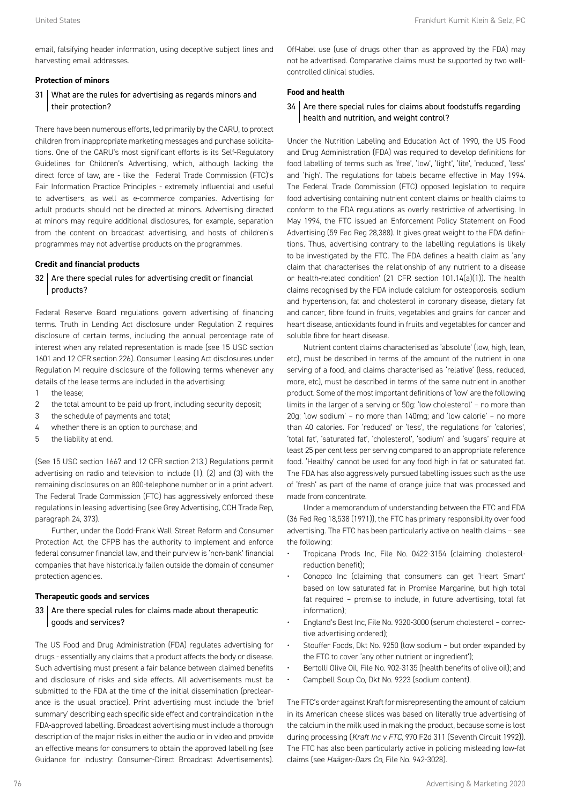email, falsifying header information, using deceptive subject lines and harvesting email addresses.

# **Protection of minors**

# 31 What are the rules for advertising as regards minors and their protection?

There have been numerous efforts, led primarily by the CARU, to protect children from inappropriate marketing messages and purchase solicitations. One of the CARU's most significant efforts is its Self-Regulatory Guidelines for Children's Advertising, which, although lacking the direct force of law, are - like the Federal Trade Commission (FTC)'s Fair Information Practice Principles - extremely influential and useful to advertisers, as well as e-commerce companies. Advertising for adult products should not be directed at minors. Advertising directed at minors may require additional disclosures, for example, separation from the content on broadcast advertising, and hosts of children's programmes may not advertise products on the programmes.

#### **Credit and financial products**

# $32$  Are there special rules for advertising credit or financial products?

Federal Reserve Board regulations govern advertising of financing terms. Truth in Lending Act disclosure under Regulation Z requires disclosure of certain terms, including the annual percentage rate of interest when any related representation is made (see 15 USC section 1601 and 12 CFR section 226). Consumer Leasing Act disclosures under Regulation M require disclosure of the following terms whenever any details of the lease terms are included in the advertising:

- 1 the lease;
- 2 the total amount to be paid up front, including security deposit;
- 3 the schedule of payments and total;
- 4 whether there is an option to purchase; and
- 5 the liability at end.

(See 15 USC section 1667 and 12 CFR section 213.) Regulations permit advertising on radio and television to include (1), (2) and (3) with the remaining disclosures on an 800-telephone number or in a print advert. The Federal Trade Commission (FTC) has aggressively enforced these regulations in leasing advertising (see Grey Advertising, CCH Trade Rep, paragraph 24, 373).

Further, under the Dodd-Frank Wall Street Reform and Consumer Protection Act, the CFPB has the authority to implement and enforce federal consumer financial law, and their purview is 'non-bank' financial companies that have historically fallen outside the domain of consumer protection agencies.

#### **Therapeutic goods and services**

# $33$  Are there special rules for claims made about therapeutic goods and services?

The US Food and Drug Administration (FDA) regulates advertising for drugs - essentially any claims that a product affects the body or disease. Such advertising must present a fair balance between claimed benefits and disclosure of risks and side effects. All advertisements must be submitted to the FDA at the time of the initial dissemination (preclearance is the usual practice). Print advertising must include the 'brief summary' describing each specific side effect and contraindication in the FDA-approved labelling. Broadcast advertising must include a thorough description of the major risks in either the audio or in video and provide an effective means for consumers to obtain the approved labelling (see Guidance for Industry: Consumer-Direct Broadcast Advertisements).

Off-label use (use of drugs other than as approved by the FDA) may not be advertised. Comparative claims must be supported by two wellcontrolled clinical studies.

# **Food and health**

# 34 Are there special rules for claims about foodstuffs regarding health and nutrition, and weight control?

Under the Nutrition Labeling and Education Act of 1990, the US Food and Drug Administration (FDA) was required to develop definitions for food labelling of terms such as 'free', 'low', 'light', 'lite', 'reduced', 'less' and 'high'. The regulations for labels became effective in May 1994. The Federal Trade Commission (FTC) opposed legislation to require food advertising containing nutrient content claims or health claims to conform to the FDA regulations as overly restrictive of advertising. In May 1994, the FTC issued an Enforcement Policy Statement on Food Advertising (59 Fed Reg 28,388). It gives great weight to the FDA definitions. Thus, advertising contrary to the labelling regulations is likely to be investigated by the FTC. The FDA defines a health claim as 'any claim that characterises the relationship of any nutrient to a disease or health-related condition' (21 CFR section 101.14(a)(1)). The health claims recognised by the FDA include calcium for osteoporosis, sodium and hypertension, fat and cholesterol in coronary disease, dietary fat and cancer, fibre found in fruits, vegetables and grains for cancer and heart disease, antioxidants found in fruits and vegetables for cancer and soluble fibre for heart disease.

Nutrient content claims characterised as 'absolute' (low, high, lean, etc), must be described in terms of the amount of the nutrient in one serving of a food, and claims characterised as 'relative' (less, reduced, more, etc), must be described in terms of the same nutrient in another product. Some of the most important definitions of 'low' are the following limits in the larger of a serving or 50g: 'low cholesterol' – no more than 20g; 'low sodium' – no more than 140mg; and 'low calorie' – no more than 40 calories. For 'reduced' or 'less', the regulations for 'calories', 'total fat', 'saturated fat', 'cholesterol', 'sodium' and 'sugars' require at least 25 per cent less per serving compared to an appropriate reference food. 'Healthy' cannot be used for any food high in fat or saturated fat. The FDA has also aggressively pursued labelling issues such as the use of 'fresh' as part of the name of orange juice that was processed and made from concentrate.

Under a memorandum of understanding between the FTC and FDA (36 Fed Reg 18,538 (1971)), the FTC has primary responsibility over food advertising. The FTC has been particularly active on health claims – see the following:

- Tropicana Prods Inc, File No. 0422-3154 (claiming cholesterolreduction benefit);
- Conopco Inc (claiming that consumers can get 'Heart Smart' based on low saturated fat in Promise Margarine, but high total fat required – promise to include, in future advertising, total fat information);
- England's Best Inc, File No. 9320-3000 (serum cholesterol corrective advertising ordered);
- Stouffer Foods, Dkt No. 9250 (low sodium but order expanded by the FTC to cover 'any other nutrient or ingredient');
- Bertolli Olive Oil, File No. 902-3135 (health benefits of olive oil); and
- Campbell Soup Co, Dkt No. 9223 (sodium content).

The FTC's order against Kraft for misrepresenting the amount of calcium in its American cheese slices was based on literally true advertising of the calcium in the milk used in making the product, because some is lost during processing (*Kraft Inc v FTC*, 970 F2d 311 (Seventh Circuit 1992)). The FTC has also been particularly active in policing misleading low-fat claims (see *Haägen-Dazs Co*, File No. 942-3028).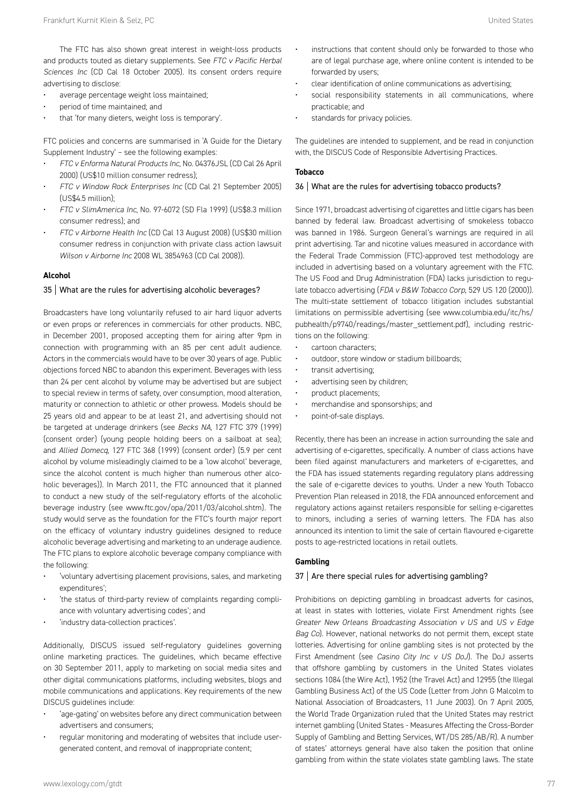- average percentage weight loss maintained;
- period of time maintained; and
- that 'for many dieters, weight loss is temporary'.

FTC policies and concerns are summarised in 'A Guide for the Dietary Supplement Industry' – see the following examples:

- *FTC v Enforma Natural Products Inc*, No. 04376JSL (CD Cal 26 April 2000) (US\$10 million consumer redress);
- *FTC v Window Rock Enterprises Inc* (CD Cal 21 September 2005)  $(1)$ S\$4.5 million)<sup>;</sup>
- *FTC v SlimAmerica Inc*, No. 97-6072 (SD Fla 1999) (US\$8.3 million consumer redress); and
- *FTC v Airborne Health Inc* (CD Cal 13 August 2008) (US\$30 million consumer redress in conjunction with private class action lawsuit *Wilson v Airborne Inc* 2008 WL 3854963 (CD Cal 2008)).

#### **Alcohol**

# 35 What are the rules for advertising alcoholic beverages?

Broadcasters have long voluntarily refused to air hard liquor adverts or even props or references in commercials for other products. NBC, in December 2001, proposed accepting them for airing after 9pm in connection with programming with an 85 per cent adult audience. Actors in the commercials would have to be over 30 years of age. Public objections forced NBC to abandon this experiment. Beverages with less than 24 per cent alcohol by volume may be advertised but are subject to special review in terms of safety, over consumption, mood alteration, maturity or connection to athletic or other prowess. Models should be 25 years old and appear to be at least 21, and advertising should not be targeted at underage drinkers (see *Becks NA*, 127 FTC 379 (1999) (consent order) (young people holding beers on a sailboat at sea); and *Allied Domecq*, 127 FTC 368 (1999) (consent order) (5.9 per cent alcohol by volume misleadingly claimed to be a 'low alcohol' beverage, since the alcohol content is much higher than numerous other alcoholic beverages)). In March 2011, the FTC announced that it planned to conduct a new study of the self-regulatory efforts of the alcoholic beverage industry (see www.ftc.gov/opa/2011/03/alcohol.shtm). The study would serve as the foundation for the FTC's fourth major report on the efficacy of voluntary industry guidelines designed to reduce alcoholic beverage advertising and marketing to an underage audience. The FTC plans to explore alcoholic beverage company compliance with the following:

- 'voluntary advertising placement provisions, sales, and marketing expenditures';
- the status of third-party review of complaints regarding compliance with voluntary advertising codes'; and
- 'industry data-collection practices'.

Additionally, DISCUS issued self-regulatory guidelines governing online marketing practices. The guidelines, which became effective on 30 September 2011, apply to marketing on social media sites and other digital communications platforms, including websites, blogs and mobile communications and applications. Key requirements of the new DISCUS guidelines include:

- 'age-gating' on websites before any direct communication between advertisers and consumers;
- regular monitoring and moderating of websites that include usergenerated content, and removal of inappropriate content;
- instructions that content should only be forwarded to those who are of legal purchase age, where online content is intended to be forwarded by users;
- clear identification of online communications as advertising;
- social responsibility statements in all communications, where practicable; and
- standards for privacy policies.

The guidelines are intended to supplement, and be read in conjunction with, the DISCUS Code of Responsible Advertising Practices.

# **Tobacco**

# 36 What are the rules for advertising tobacco products?

Since 1971, broadcast advertising of cigarettes and little cigars has been banned by federal law. Broadcast advertising of smokeless tobacco was banned in 1986. Surgeon General's warnings are required in all print advertising. Tar and nicotine values measured in accordance with the Federal Trade Commission (FTC)-approved test methodology are included in advertising based on a voluntary agreement with the FTC. The US Food and Drug Administration (FDA) lacks jurisdiction to regulate tobacco advertising (*FDA v B&W Tobacco Corp*, 529 US 120 (2000)). The multi-state settlement of tobacco litigation includes substantial limitations on permissible advertising (see www.columbia.edu/itc/hs/ pubhealth/p9740/readings/master\_settlement.pdf), including restrictions on the following:

- cartoon characters;
- outdoor, store window or stadium billboards;
- transit advertising;
- advertising seen by children;
- product placements;
- merchandise and sponsorships; and
- point-of-sale displays.

Recently, there has been an increase in action surrounding the sale and advertising of e-cigarettes, specifically. A number of class actions have been filed against manufacturers and marketers of e-cigarettes, and the FDA has issued statements regarding regulatory plans addressing the sale of e-cigarette devices to youths. Under a new Youth Tobacco Prevention Plan released in 2018, the FDA announced enforcement and regulatory actions against retailers responsible for selling e-cigarettes to minors, including a series of warning letters. The FDA has also announced its intention to limit the sale of certain flavoured e-cigarette posts to age-restricted locations in retail outlets.

# **Gambling**

# 37 | Are there special rules for advertising gambling?

Prohibitions on depicting gambling in broadcast adverts for casinos, at least in states with lotteries, violate First Amendment rights (see *Greater New Orleans Broadcasting Association v US* and *US v Edge Bag Co*). However, national networks do not permit them, except state lotteries. Advertising for online gambling sites is not protected by the First Amendment (see *Casino City Inc v US DoJ*). The DoJ asserts that offshore gambling by customers in the United States violates sections 1084 (the Wire Act), 1952 (the Travel Act) and 12955 (the Illegal Gambling Business Act) of the US Code (Letter from John G Malcolm to National Association of Broadcasters, 11 June 2003). On 7 April 2005, the World Trade Organization ruled that the United States may restrict internet gambling (United States - Measures Affecting the Cross-Border Supply of Gambling and Betting Services, WT/DS 285/AB/R). A number of states' attorneys general have also taken the position that online gambling from within the state violates state gambling laws. The state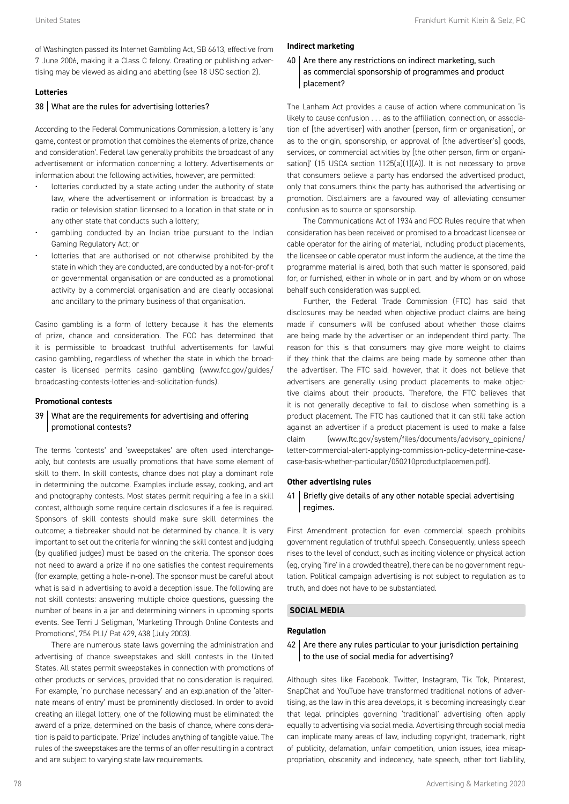of Washington passed its Internet Gambling Act, SB 6613, effective from 7 June 2006, making it a Class C felony. Creating or publishing advertising may be viewed as aiding and abetting (see 18 USC section 2).

#### **Lotteries**

#### 38 What are the rules for advertising lotteries?

According to the Federal Communications Commission, a lottery is 'any game, contest or promotion that combines the elements of prize, chance and consideration'. Federal law generally prohibits the broadcast of any advertisement or information concerning a lottery. Advertisements or information about the following activities, however, are permitted:

- lotteries conducted by a state acting under the authority of state law, where the advertisement or information is broadcast by a radio or television station licensed to a location in that state or in any other state that conducts such a lottery;
- gambling conducted by an Indian tribe pursuant to the Indian Gaming Regulatory Act; or
- lotteries that are authorised or not otherwise prohibited by the state in which they are conducted, are conducted by a not-for-profit or governmental organisation or are conducted as a promotional activity by a commercial organisation and are clearly occasional and ancillary to the primary business of that organisation.

Casino gambling is a form of lottery because it has the elements of prize, chance and consideration. The FCC has determined that it is permissible to broadcast truthful advertisements for lawful casino gambling, regardless of whether the state in which the broadcaster is licensed permits casino gambling (www.fcc.gov/guides/ broadcasting-contests-lotteries-and-solicitation-funds).

#### **Promotional contests**

# 39 What are the requirements for advertising and offering promotional contests?

The terms 'contests' and 'sweepstakes' are often used interchangeably, but contests are usually promotions that have some element of skill to them. In skill contests, chance does not play a dominant role in determining the outcome. Examples include essay, cooking, and art and photography contests. Most states permit requiring a fee in a skill contest, although some require certain disclosures if a fee is required. Sponsors of skill contests should make sure skill determines the outcome; a tiebreaker should not be determined by chance. It is very important to set out the criteria for winning the skill contest and judging (by qualified judges) must be based on the criteria. The sponsor does not need to award a prize if no one satisfies the contest requirements (for example, getting a hole-in-one). The sponsor must be careful about what is said in advertising to avoid a deception issue. The following are not skill contests: answering multiple choice questions, guessing the number of beans in a jar and determining winners in upcoming sports events. See Terri J Seligman, 'Marketing Through Online Contests and Promotions', 754 PLI/ Pat 429, 438 (July 2003).

There are numerous state laws governing the administration and advertising of chance sweepstakes and skill contests in the United States. All states permit sweepstakes in connection with promotions of other products or services, provided that no consideration is required. For example, 'no purchase necessary' and an explanation of the 'alternate means of entry' must be prominently disclosed. In order to avoid creating an illegal lottery, one of the following must be eliminated: the award of a prize, determined on the basis of chance, where consideration is paid to participate. 'Prize' includes anything of tangible value. The rules of the sweepstakes are the terms of an offer resulting in a contract and are subject to varying state law requirements.

# **Indirect marketing**

# $40$  | Are there any restrictions on indirect marketing, such as commercial sponsorship of programmes and product placement?

The Lanham Act provides a cause of action where communication 'is likely to cause confusion . . . as to the affiliation, connection, or association of [the advertiser] with another [person, firm or organisation], or as to the origin, sponsorship, or approval of [the advertiser's] goods, services, or commercial activities by [the other person, firm or organisation]' (15 USCA section 1125(a)(1)(A)). It is not necessary to prove that consumers believe a party has endorsed the advertised product, only that consumers think the party has authorised the advertising or promotion. Disclaimers are a favoured way of alleviating consumer confusion as to source or sponsorship.

The Communications Act of 1934 and FCC Rules require that when consideration has been received or promised to a broadcast licensee or cable operator for the airing of material, including product placements, the licensee or cable operator must inform the audience, at the time the programme material is aired, both that such matter is sponsored, paid for, or furnished, either in whole or in part, and by whom or on whose behalf such consideration was supplied.

Further, the Federal Trade Commission (FTC) has said that disclosures may be needed when objective product claims are being made if consumers will be confused about whether those claims are being made by the advertiser or an independent third party. The reason for this is that consumers may give more weight to claims if they think that the claims are being made by someone other than the advertiser. The FTC said, however, that it does not believe that advertisers are generally using product placements to make objective claims about their products. Therefore, the FTC believes that it is not generally deceptive to fail to disclose when something is a product placement. The FTC has cautioned that it can still take action against an advertiser if a product placement is used to make a false claim (www.ftc.gov/system/files/documents/advisory\_opinions/ letter-commercial-alert-applying-commission-policy-determine-casecase-basis-whether-particular/050210productplacemen.pdf).

#### **Other advertising rules**

# 41 | Briefly give details of any other notable special advertising regimes.

First Amendment protection for even commercial speech prohibits government regulation of truthful speech. Consequently, unless speech rises to the level of conduct, such as inciting violence or physical action (eg, crying 'fire' in a crowded theatre), there can be no government regulation. Political campaign advertising is not subject to regulation as to truth, and does not have to be substantiated.

#### **SOCIAL MEDIA**

# **Regulation**

# $42$  Are there any rules particular to your jurisdiction pertaining to the use of social media for advertising?

Although sites like Facebook, Twitter, Instagram, Tik Tok, Pinterest, SnapChat and YouTube have transformed traditional notions of advertising, as the law in this area develops, it is becoming increasingly clear that legal principles governing 'traditional' advertising often apply equally to advertising via social media. Advertising through social media can implicate many areas of law, including copyright, trademark, right of publicity, defamation, unfair competition, union issues, idea misappropriation, obscenity and indecency, hate speech, other tort liability,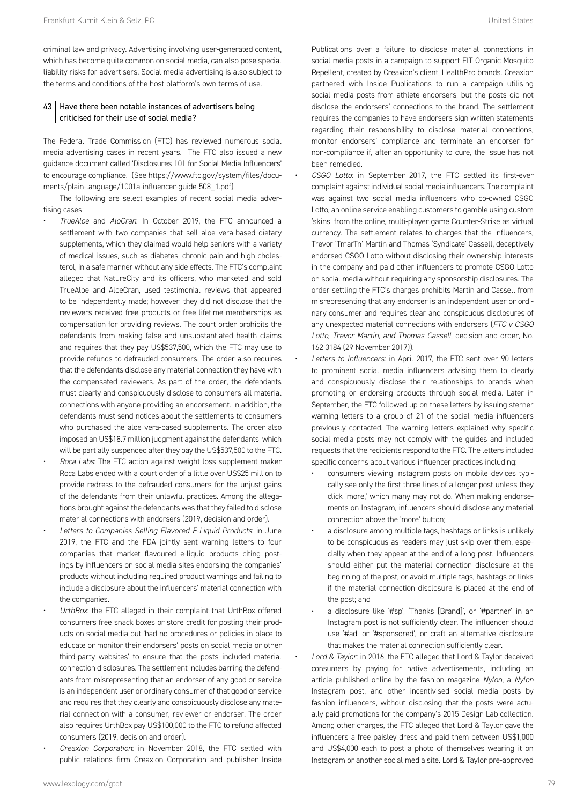criminal law and privacy. Advertising involving user-generated content, which has become quite common on social media, can also pose special liability risks for advertisers. Social media advertising is also subject to the terms and conditions of the host platform's own terms of use.

# $43$  Have there been notable instances of advertisers being criticised for their use of social media?

The Federal Trade Commission (FTC) has reviewed numerous social media advertising cases in recent years. The FTC also issued a new guidance document called 'Disclosures 101 for Social Media Influencers' to encourage compliance. (See https://www.ftc.gov/system/files/documents/plain-language/1001a-influencer-guide-508\_1.pdf)

The following are select examples of recent social media advertising cases:

- *TrueAloe* and *AloCran*: In October 2019, the FTC announced a settlement with two companies that sell aloe vera-based dietary supplements, which they claimed would help seniors with a variety of medical issues, such as diabetes, chronic pain and high cholesterol, in a safe manner without any side effects. The FTC's complaint alleged that NatureCity and its officers, who marketed and sold TrueAloe and AloeCran, used testimonial reviews that appeared to be independently made; however, they did not disclose that the reviewers received free products or free lifetime memberships as compensation for providing reviews. The court order prohibits the defendants from making false and unsubstantiated health claims and requires that they pay US\$537,500, which the FTC may use to provide refunds to defrauded consumers. The order also requires that the defendants disclose any material connection they have with the compensated reviewers. As part of the order, the defendants must clearly and conspicuously disclose to consumers all material connections with anyone providing an endorsement. In addition, the defendants must send notices about the settlements to consumers who purchased the aloe vera-based supplements. The order also imposed an US\$18.7 million judgment against the defendants, which will be partially suspended after they pay the US\$537,500 to the FTC.
- *Roca Labs*: The FTC action against weight loss supplement maker Roca Labs ended with a court order of a little over US\$25 million to provide redress to the defrauded consumers for the unjust gains of the defendants from their unlawful practices. Among the allegations brought against the defendants was that they failed to disclose material connections with endorsers (2019, decision and order).
- *Letters to Companies Selling Flavored E-Liquid Products*: in June 2019, the FTC and the FDA jointly sent warning letters to four companies that market flavoured e-liquid products citing postings by influencers on social media sites endorsing the companies' products without including required product warnings and failing to include a disclosure about the influencers' material connection with the companies.
- *UrthBox*: the FTC alleged in their complaint that UrthBox offered consumers free snack boxes or store credit for posting their products on social media but 'had no procedures or policies in place to educate or monitor their endorsers' posts on social media or other third-party websites' to ensure that the posts included material connection disclosures. The settlement includes barring the defendants from misrepresenting that an endorser of any good or service is an independent user or ordinary consumer of that good or service and requires that they clearly and conspicuously disclose any material connection with a consumer, reviewer or endorser. The order also requires UrthBox pay US\$100,000 to the FTC to refund affected consumers (2019, decision and order).
- *Creaxion Corporation*: in November 2018, the FTC settled with public relations firm Creaxion Corporation and publisher Inside

Publications over a failure to disclose material connections in social media posts in a campaign to support FIT Organic Mosquito Repellent, created by Creaxion's client, HealthPro brands. Creaxion partnered with Inside Publications to run a campaign utilising social media posts from athlete endorsers, but the posts did not disclose the endorsers' connections to the brand. The settlement requires the companies to have endorsers sign written statements regarding their responsibility to disclose material connections, monitor endorsers' compliance and terminate an endorser for non-compliance if, after an opportunity to cure, the issue has not been remedied.

- *CSGO Lotto*: in September 2017, the FTC settled its first-ever complaint against individual social media influencers. The complaint was against two social media influencers who co-owned CSGO Lotto, an online service enabling customers to gamble using custom 'skins' from the online, multi-player game Counter-Strike as virtual currency. The settlement relates to charges that the influencers, Trevor 'TmarTn' Martin and Thomas 'Syndicate' Cassell, deceptively endorsed CSGO Lotto without disclosing their ownership interests in the company and paid other influencers to promote CSGO Lotto on social media without requiring any sponsorship disclosures. The order settling the FTC's charges prohibits Martin and Cassell from misrepresenting that any endorser is an independent user or ordinary consumer and requires clear and conspicuous disclosures of any unexpected material connections with endorsers (*FTC v CSGO Lotto, Trevor Martin, and Thomas Cassell*, decision and order, No. 162 3184 (29 November 2017)).
- *Letters to Influencers*: in April 2017, the FTC sent over 90 letters to prominent social media influencers advising them to clearly and conspicuously disclose their relationships to brands when promoting or endorsing products through social media. Later in September, the FTC followed up on these letters by issuing sterner warning letters to a group of 21 of the social media influencers previously contacted. The warning letters explained why specific social media posts may not comply with the guides and included requests that the recipients respond to the FTC. The letters included specific concerns about various influencer practices including:
	- consumers viewing Instagram posts on mobile devices typically see only the first three lines of a longer post unless they click 'more,' which many may not do. When making endorsements on Instagram, influencers should disclose any material connection above the 'more' button;
	- a disclosure among multiple tags, hashtags or links is unlikely to be conspicuous as readers may just skip over them, especially when they appear at the end of a long post. Influencers should either put the material connection disclosure at the beginning of the post, or avoid multiple tags, hashtags or links if the material connection disclosure is placed at the end of the post; and
	- a disclosure like '#sp', 'Thanks [Brand]', or '#partner' in an Instagram post is not sufficiently clear. The influencer should use '#ad' or '#sponsored', or craft an alternative disclosure that makes the material connection sufficiently clear.
- *Lord & Taylor*: in 2016, the FTC alleged that Lord & Taylor deceived consumers by paying for native advertisements, including an article published online by the fashion magazine *Nylon*, a *Nylon* Instagram post, and other incentivised social media posts by fashion influencers, without disclosing that the posts were actually paid promotions for the company's 2015 Design Lab collection. Among other charges, the FTC alleged that Lord & Taylor gave the influencers a free paisley dress and paid them between US\$1,000 and US\$4,000 each to post a photo of themselves wearing it on Instagram or another social media site. Lord & Taylor pre-approved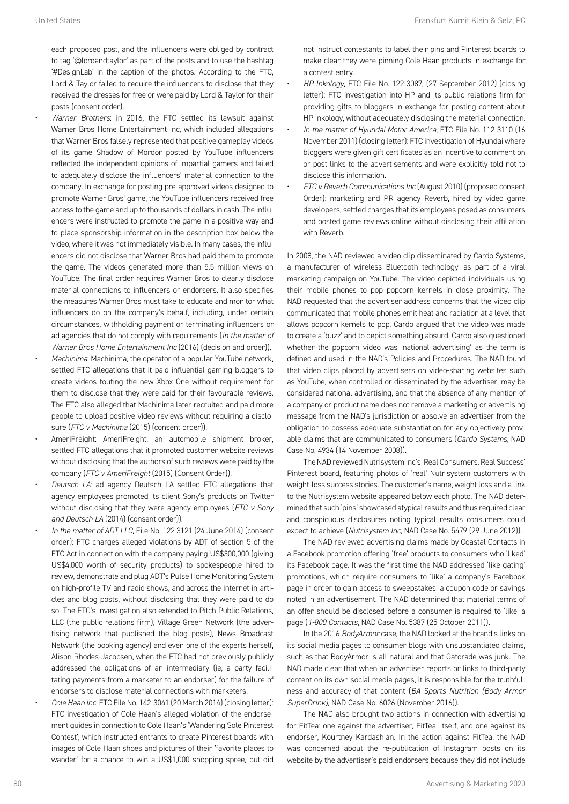each proposed post, and the influencers were obliged by contract to tag '@lordandtaylor' as part of the posts and to use the hashtag '#DesignLab' in the caption of the photos. According to the FTC, Lord & Taylor failed to require the influencers to disclose that they received the dresses for free or were paid by Lord & Taylor for their posts (consent order).

- *Warner Brothers*: in 2016, the FTC settled its lawsuit against Warner Bros Home Entertainment Inc, which included allegations that Warner Bros falsely represented that positive gameplay videos of its game Shadow of Mordor posted by YouTube influencers reflected the independent opinions of impartial gamers and failed to adequately disclose the influencers' material connection to the company. In exchange for posting pre-approved videos designed to promote Warner Bros' game, the YouTube influencers received free access to the game and up to thousands of dollars in cash. The influencers were instructed to promote the game in a positive way and to place sponsorship information in the description box below the video, where it was not immediately visible. In many cases, the influencers did not disclose that Warner Bros had paid them to promote the game. The videos generated more than 5.5 million views on YouTube. The final order requires Warner Bros to clearly disclose material connections to influencers or endorsers. It also specifies the measures Warner Bros must take to educate and monitor what influencers do on the company's behalf, including, under certain circumstances, withholding payment or terminating influencers or ad agencies that do not comply with requirements (*In the matter of Warner Bros Home Entertainment Inc* (2016) (decision and order)).
- *Machinima*: Machinima, the operator of a popular YouTube network, settled FTC allegations that it paid influential gaming bloggers to create videos touting the new Xbox One without requirement for them to disclose that they were paid for their favourable reviews. The FTC also alleged that Machinima later recruited and paid more people to upload positive video reviews without requiring a disclosure (*FTC v Machinima* (2015) (consent order)).
- AmeriFreight: AmeriFreight, an automobile shipment broker, settled FTC allegations that it promoted customer website reviews without disclosing that the authors of such reviews were paid by the company (*FTC v AmeriFreight* (2015) (Consent Order)).
- *Deutsch LA*: ad agency Deutsch LA settled FTC allegations that agency employees promoted its client Sony's products on Twitter without disclosing that they were agency employees (*FTC v Sony and Deutsch LA* (2014) (consent order)).
- *In the matter of ADT LLC*, File No. 122 3121 (24 June 2014) (consent order): FTC charges alleged violations by ADT of section 5 of the FTC Act in connection with the company paying US\$300,000 (giving US\$4,000 worth of security products) to spokespeople hired to review, demonstrate and plug ADT's Pulse Home Monitoring System on high-profile TV and radio shows, and across the internet in articles and blog posts, without disclosing that they were paid to do so. The FTC's investigation also extended to Pitch Public Relations, LLC (the public relations firm), Village Green Network (the advertising network that published the blog posts), News Broadcast Network (the booking agency) and even one of the experts herself, Alison Rhodes-Jacobsen, when the FTC had not previously publicly addressed the obligations of an intermediary (ie, a party facilitating payments from a marketer to an endorser) for the failure of endorsers to disclose material connections with marketers.
- *Cole Haan Inc*, FTC File No. 142-3041 (20 March 2014) (closing letter): FTC investigation of Cole Haan's alleged violation of the endorsement guides in connection to Cole Haan's 'Wandering Sole Pinterest Contest', which instructed entrants to create Pinterest boards with images of Cole Haan shoes and pictures of their 'favorite places to wander' for a chance to win a US\$1,000 shopping spree, but did

not instruct contestants to label their pins and Pinterest boards to make clear they were pinning Cole Haan products in exchange for a contest entry.

- *HP Inkology*, FTC File No. 122-3087, (27 September 2012) (closing letter): FTC investigation into HP and its public relations firm for providing gifts to bloggers in exchange for posting content about HP Inkology, without adequately disclosing the material connection.
- *In the matter of Hyundai Motor America*, FTC File No. 112-3110 (16 November 2011) (closing letter): FTC investigation of Hyundai where bloggers were given gift certificates as an incentive to comment on or post links to the advertisements and were explicitly told not to disclose this information.
- *FTC v Reverb Communications Inc* (August 2010) (proposed consent Order): marketing and PR agency Reverb, hired by video game developers, settled charges that its employees posed as consumers and posted game reviews online without disclosing their affiliation with Reverb.

In 2008, the NAD reviewed a video clip disseminated by Cardo Systems, a manufacturer of wireless Bluetooth technology, as part of a viral marketing campaign on YouTube. The video depicted individuals using their mobile phones to pop popcorn kernels in close proximity. The NAD requested that the advertiser address concerns that the video clip communicated that mobile phones emit heat and radiation at a level that allows popcorn kernels to pop. Cardo argued that the video was made to create a 'buzz' and to depict something absurd. Cardo also questioned whether the popcorn video was 'national advertising' as the term is defined and used in the NAD's Policies and Procedures. The NAD found that video clips placed by advertisers on video-sharing websites such as YouTube, when controlled or disseminated by the advertiser, may be considered national advertising, and that the absence of any mention of a company or product name does not remove a marketing or advertising message from the NAD's jurisdiction or absolve an advertiser from the obligation to possess adequate substantiation for any objectively provable claims that are communicated to consumers (*Cardo Systems*, NAD Case No. 4934 (14 November 2008)).

The NAD reviewed Nutrisystem Inc's 'Real Consumers. Real Success' Pinterest board, featuring photos of 'real' Nutrisystem customers with weight-loss success stories. The customer's name, weight loss and a link to the Nutrisystem website appeared below each photo. The NAD determined that such 'pins' showcased atypical results and thus required clear and conspicuous disclosures noting typical results consumers could expect to achieve (*Nutrisystem Inc*, NAD Case No. 5479 (29 June 2012)).

The NAD reviewed advertising claims made by Coastal Contacts in a Facebook promotion offering 'free' products to consumers who 'liked' its Facebook page. It was the first time the NAD addressed 'like-gating' promotions, which require consumers to 'like' a company's Facebook page in order to gain access to sweepstakes, a coupon code or savings noted in an advertisement. The NAD determined that material terms of an offer should be disclosed before a consumer is required to 'like' a page (*1-800 Contacts*, NAD Case No. 5387 (25 October 2011)).

In the 2016 *BodyArmor* case, the NAD looked at the brand's links on its social media pages to consumer blogs with unsubstantiated claims, such as that BodyArmor is all natural and that Gatorade was junk. The NAD made clear that when an advertiser reports or links to third-party content on its own social media pages, it is responsible for the truthfulness and accuracy of that content (*BA Sports Nutrition (Body Armor SuperDrink)*, NAD Case No. 6026 (November 2016)).

The NAD also brought two actions in connection with advertising for FitTea: one against the advertiser, FitTea, itself, and one against its endorser, Kourtney Kardashian. In the action against FitTea, the NAD was concerned about the re-publication of Instagram posts on its website by the advertiser's paid endorsers because they did not include